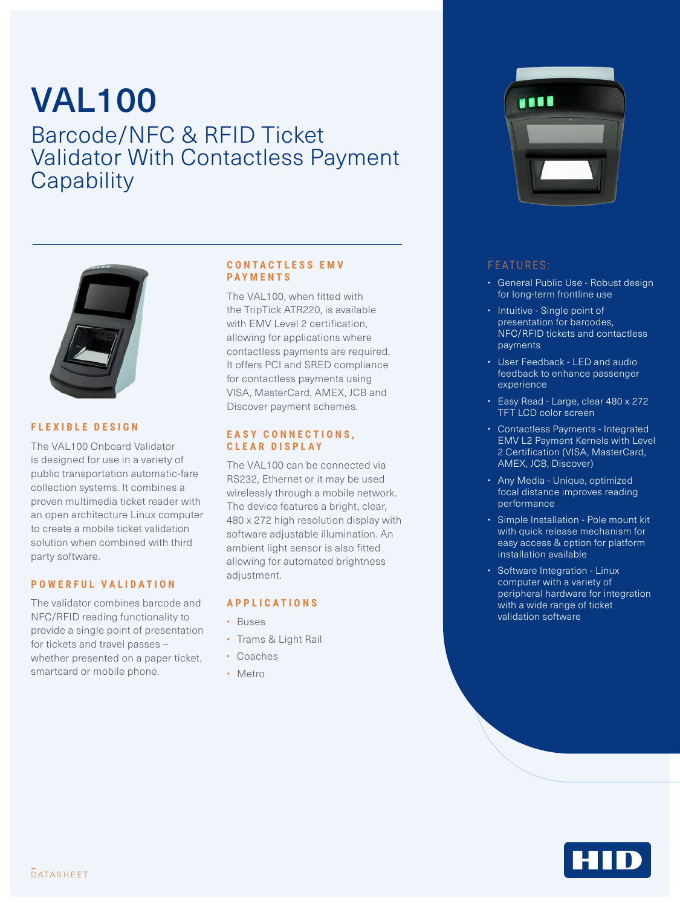## VAL100 Barcode/NFC & RFID Ticket Validator With Contactless Payment **Capability**



#### **FLEXIBLE DESIGN**

The VAL100 Onboard Validator is designed for use in a variety of public transportation automatic-fare collection systems. It combines a proven multimedia ticket reader with an open architecture Linux computer to create a mobile ticket validation solution when combined with third party software.

#### **POWERFUL VALIDATION**

The validator combines barcode and NFC/RFID reading functionality to provide a single point of presentation for tickets and travel passes – whether presented on a paper ticket, smartcard or mobile phone.

#### **C O N T A C T L E S S E M V PAYMENTS**

The VAL100, when fitted with the TripTick ATR220, is available with EMV Level 2 certification. allowing for applications where contactless payments are required. It offers PCI and SRED compliance for contactless payments using VISA, MasterCard, AMEX, JCB and Discover payment schemes.

#### **E A S Y C O N N E C T I O N S , CLEAR DISPLAY**

The VAL100 can be connected via RS232, Ethernet or it may be used wirelessly through a mobile network. The device features a bright, clear, 480 x 272 high resolution display with software adjustable illumination. An ambient light sensor is also fitted allowing for automated brightness adiustment.

#### **APPLICATIONS**

- Buses
- Trams & Light Rail
- Coaches
- Metro



### FEATURES:

- General Public Use Robust design for long-term frontline use
- Intuitive Single point of presentation for barcodes, NFC/RFID tickets and contactless payments
- User Feedback LED and audio feedback to enhance passenger experience
- Easy Read Large, clear 480 x 272 TFT LCD color screen
- Contactless Payments Integrated EMV L2 Payment Kernels with Level 2 Certification (VISA, MasterCard, AMEX, JCB, Discover)
- Any Media Unique, optimized focal distance improves reading performance
- Simple Installation Pole mount kit with quick release mechanism for easy access & option for platform installation available
- Software Integration Linux computer with a variety of peripheral hardware for integration with a wide range of ticket validation software